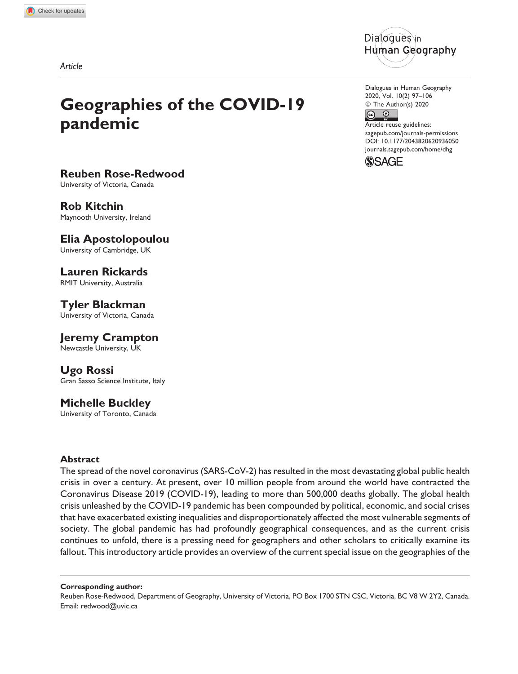Article





Rob Kitchin Maynooth University, Ireland

Elia Apostolopoulou University of Cambridge, UK

Lauren Rickards RMIT University, Australia

Tyler Blackman University of Victoria, Canada

Jeremy Crampton Newcastle University, UK

Ugo Rossi Gran Sasso Science Institute, Italy

# Michelle Buckley

University of Toronto, Canada

## Abstract

The spread of the novel coronavirus (SARS-CoV-2) has resulted in the most devastating global public health crisis in over a century. At present, over 10 million people from around the world have contracted the Coronavirus Disease 2019 (COVID-19), leading to more than 500,000 deaths globally. The global health crisis unleashed by the COVID-19 pandemic has been compounded by political, economic, and social crises that have exacerbated existing inequalities and disproportionately affected the most vulnerable segments of society. The global pandemic has had profoundly geographical consequences, and as the current crisis continues to unfold, there is a pressing need for geographers and other scholars to critically examine its fallout. This introductory article provides an overview of the current special issue on the geographies of the

Corresponding author:

Reuben Rose-Redwood, Department of Geography, University of Victoria, PO Box 1700 STN CSC, Victoria, BC V8 W 2Y2, Canada. Email: [redwood@uvic.ca](mailto:redwood@uvic.ca)



Dialogues in Human Geography 2020, Vol. 10(2) 97–106 © The Author(s) 2020

 $\odot$  $\odot$ 

Article reuse guidelines: [sagepub.com/journals-permissions](https://sagepub.com/journals-permissions) [DOI: 10.1177/2043820620936050](https://doi.org/10.1177/2043820620936050) [journals.sagepub.com/home/dhg](http://journals.sagepub.com/home/dhg)

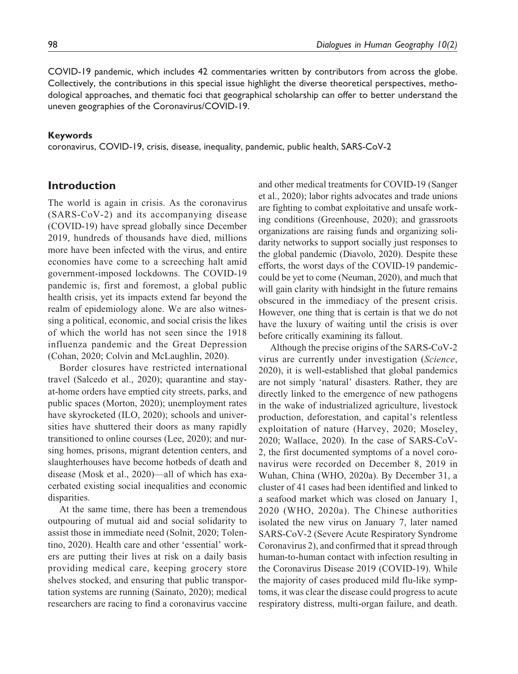COVID-19 pandemic, which includes 42 commentaries written by contributors from across the globe. Collectively, the contributions in this special issue highlight the diverse theoretical perspectives, methodological approaches, and thematic foci that geographical scholarship can offer to better understand the uneven geographies of the Coronavirus/COVID-19.

### Keywords

coronavirus, COVID-19, crisis, disease, inequality, pandemic, public health, SARS-CoV-2

## Introduction

The world is again in crisis. As the coronavirus (SARS-CoV-2) and its accompanying disease (COVID-19) have spread globally since December 2019, hundreds of thousands have died, millions more have been infected with the virus, and entire economies have come to a screeching halt amid government-imposed lockdowns. The COVID-19 pandemic is, first and foremost, a global public health crisis, yet its impacts extend far beyond the realm of epidemiology alone. We are also witnessing a political, economic, and social crisis the likes of which the world has not seen since the 1918 influenza pandemic and the Great Depression (Cohan, 2020; Colvin and McLaughlin, 2020).

Border closures have restricted international travel (Salcedo et al., 2020); quarantine and stayat-home orders have emptied city streets, parks, and public spaces (Morton, 2020); unemployment rates have skyrocketed (ILO, 2020); schools and universities have shuttered their doors as many rapidly transitioned to online courses (Lee, 2020); and nursing homes, prisons, migrant detention centers, and slaughterhouses have become hotbeds of death and disease (Mosk et al., 2020)—all of which has exacerbated existing social inequalities and economic disparities.

At the same time, there has been a tremendous outpouring of mutual aid and social solidarity to assist those in immediate need (Solnit, 2020; Tolentino, 2020). Health care and other 'essential' workers are putting their lives at risk on a daily basis providing medical care, keeping grocery store shelves stocked, and ensuring that public transportation systems are running (Sainato, 2020); medical researchers are racing to find a coronavirus vaccine

and other medical treatments for COVID-19 (Sanger et al., 2020); labor rights advocates and trade unions are fighting to combat exploitative and unsafe working conditions (Greenhouse, 2020); and grassroots organizations are raising funds and organizing solidarity networks to support socially just responses to the global pandemic (Diavolo, 2020). Despite these efforts, the worst days of the COVID-19 pandemiccould be yet to come (Neuman, 2020), and much that will gain clarity with hindsight in the future remains obscured in the immediacy of the present crisis. However, one thing that is certain is that we do not have the luxury of waiting until the crisis is over before critically examining its fallout.

Although the precise origins of the SARS-CoV-2 virus are currently under investigation (Science, 2020), it is well-established that global pandemics are not simply 'natural' disasters. Rather, they are directly linked to the emergence of new pathogens in the wake of industrialized agriculture, livestock production, deforestation, and capital's relentless exploitation of nature (Harvey, 2020; Moseley, 2020; Wallace, 2020). In the case of SARS-CoV-2, the first documented symptoms of a novel coronavirus were recorded on December 8, 2019 in Wuhan, China (WHO, 2020a). By December 31, a cluster of 41 cases had been identified and linked to a seafood market which was closed on January 1, 2020 (WHO, 2020a). The Chinese authorities isolated the new virus on January 7, later named SARS-CoV-2 (Severe Acute Respiratory Syndrome Coronavirus 2), and confirmed that it spread through human-to-human contact with infection resulting in the Coronavirus Disease 2019 (COVID-19). While the majority of cases produced mild flu-like symptoms, it was clear the disease could progress to acute respiratory distress, multi-organ failure, and death.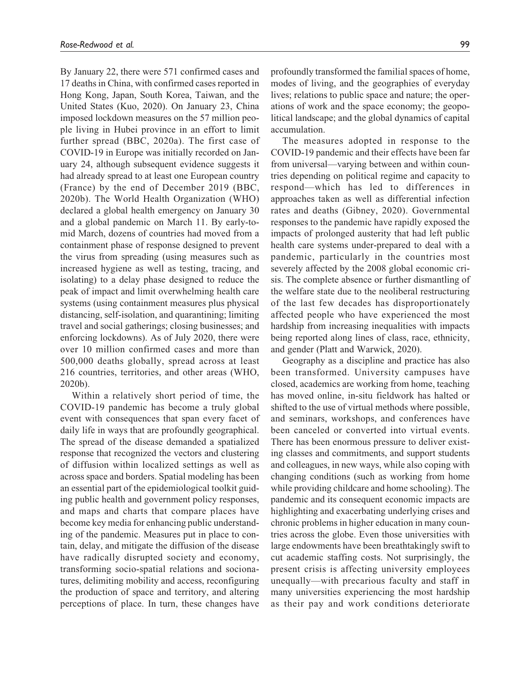By January 22, there were 571 confirmed cases and 17 deaths in China, with confirmed cases reported in Hong Kong, Japan, South Korea, Taiwan, and the United States (Kuo, 2020). On January 23, China imposed lockdown measures on the 57 million people living in Hubei province in an effort to limit further spread (BBC, 2020a). The first case of COVID-19 in Europe was initially recorded on January 24, although subsequent evidence suggests it had already spread to at least one European country (France) by the end of December 2019 (BBC, 2020b). The World Health Organization (WHO) declared a global health emergency on January 30 and a global pandemic on March 11. By early-tomid March, dozens of countries had moved from a containment phase of response designed to prevent the virus from spreading (using measures such as increased hygiene as well as testing, tracing, and isolating) to a delay phase designed to reduce the peak of impact and limit overwhelming health care systems (using containment measures plus physical distancing, self-isolation, and quarantining; limiting travel and social gatherings; closing businesses; and enforcing lockdowns). As of July 2020, there were over 10 million confirmed cases and more than 500,000 deaths globally, spread across at least 216 countries, territories, and other areas (WHO, 2020b).

Within a relatively short period of time, the COVID-19 pandemic has become a truly global event with consequences that span every facet of daily life in ways that are profoundly geographical. The spread of the disease demanded a spatialized response that recognized the vectors and clustering of diffusion within localized settings as well as across space and borders. Spatial modeling has been an essential part of the epidemiological toolkit guiding public health and government policy responses, and maps and charts that compare places have become key media for enhancing public understanding of the pandemic. Measures put in place to contain, delay, and mitigate the diffusion of the disease have radically disrupted society and economy, transforming socio-spatial relations and socionatures, delimiting mobility and access, reconfiguring the production of space and territory, and altering perceptions of place. In turn, these changes have profoundly transformed the familial spaces of home, modes of living, and the geographies of everyday lives; relations to public space and nature; the operations of work and the space economy; the geopolitical landscape; and the global dynamics of capital accumulation.

The measures adopted in response to the COVID-19 pandemic and their effects have been far from universal—varying between and within countries depending on political regime and capacity to respond—which has led to differences in approaches taken as well as differential infection rates and deaths (Gibney, 2020). Governmental responses to the pandemic have rapidly exposed the impacts of prolonged austerity that had left public health care systems under-prepared to deal with a pandemic, particularly in the countries most severely affected by the 2008 global economic crisis. The complete absence or further dismantling of the welfare state due to the neoliberal restructuring of the last few decades has disproportionately affected people who have experienced the most hardship from increasing inequalities with impacts being reported along lines of class, race, ethnicity, and gender (Platt and Warwick, 2020).

Geography as a discipline and practice has also been transformed. University campuses have closed, academics are working from home, teaching has moved online, in-situ fieldwork has halted or shifted to the use of virtual methods where possible, and seminars, workshops, and conferences have been canceled or converted into virtual events. There has been enormous pressure to deliver existing classes and commitments, and support students and colleagues, in new ways, while also coping with changing conditions (such as working from home while providing childcare and home schooling). The pandemic and its consequent economic impacts are highlighting and exacerbating underlying crises and chronic problems in higher education in many countries across the globe. Even those universities with large endowments have been breathtakingly swift to cut academic staffing costs. Not surprisingly, the present crisis is affecting university employees unequally—with precarious faculty and staff in many universities experiencing the most hardship as their pay and work conditions deteriorate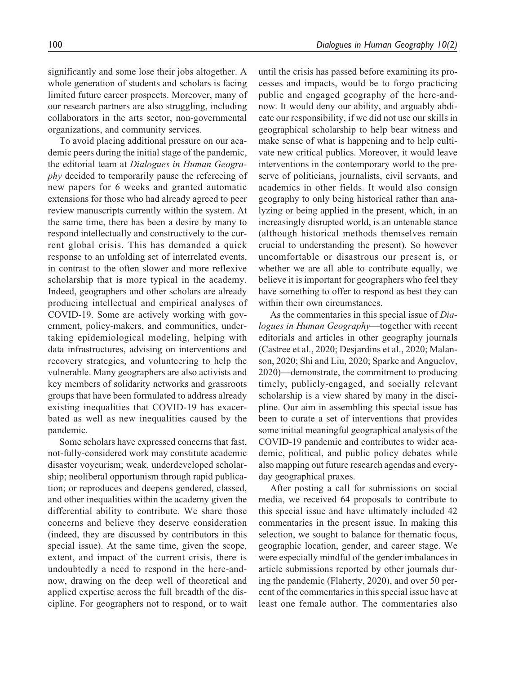significantly and some lose their jobs altogether. A whole generation of students and scholars is facing limited future career prospects. Moreover, many of our research partners are also struggling, including collaborators in the arts sector, non-governmental organizations, and community services.

To avoid placing additional pressure on our academic peers during the initial stage of the pandemic, the editorial team at Dialogues in Human Geography decided to temporarily pause the refereeing of new papers for 6 weeks and granted automatic extensions for those who had already agreed to peer review manuscripts currently within the system. At the same time, there has been a desire by many to respond intellectually and constructively to the current global crisis. This has demanded a quick response to an unfolding set of interrelated events, in contrast to the often slower and more reflexive scholarship that is more typical in the academy. Indeed, geographers and other scholars are already producing intellectual and empirical analyses of COVID-19. Some are actively working with government, policy-makers, and communities, undertaking epidemiological modeling, helping with data infrastructures, advising on interventions and recovery strategies, and volunteering to help the vulnerable. Many geographers are also activists and key members of solidarity networks and grassroots groups that have been formulated to address already existing inequalities that COVID-19 has exacerbated as well as new inequalities caused by the pandemic.

Some scholars have expressed concerns that fast, not-fully-considered work may constitute academic disaster voyeurism; weak, underdeveloped scholarship; neoliberal opportunism through rapid publication; or reproduces and deepens gendered, classed, and other inequalities within the academy given the differential ability to contribute. We share those concerns and believe they deserve consideration (indeed, they are discussed by contributors in this special issue). At the same time, given the scope, extent, and impact of the current crisis, there is undoubtedly a need to respond in the here-andnow, drawing on the deep well of theoretical and applied expertise across the full breadth of the discipline. For geographers not to respond, or to wait until the crisis has passed before examining its processes and impacts, would be to forgo practicing public and engaged geography of the here-andnow. It would deny our ability, and arguably abdicate our responsibility, if we did not use our skills in geographical scholarship to help bear witness and make sense of what is happening and to help cultivate new critical publics. Moreover, it would leave interventions in the contemporary world to the preserve of politicians, journalists, civil servants, and academics in other fields. It would also consign geography to only being historical rather than analyzing or being applied in the present, which, in an increasingly disrupted world, is an untenable stance (although historical methods themselves remain crucial to understanding the present). So however uncomfortable or disastrous our present is, or whether we are all able to contribute equally, we believe it is important for geographers who feel they have something to offer to respond as best they can within their own circumstances.

As the commentaries in this special issue of Dialogues in Human Geography—together with recent editorials and articles in other geography journals (Castree et al., 2020; Desjardins et al., 2020; Malanson, 2020; Shi and Liu, 2020; Sparke and Anguelov, 2020)—demonstrate, the commitment to producing timely, publicly-engaged, and socially relevant scholarship is a view shared by many in the discipline. Our aim in assembling this special issue has been to curate a set of interventions that provides some initial meaningful geographical analysis of the COVID-19 pandemic and contributes to wider academic, political, and public policy debates while also mapping out future research agendas and everyday geographical praxes.

After posting a call for submissions on social media, we received 64 proposals to contribute to this special issue and have ultimately included 42 commentaries in the present issue. In making this selection, we sought to balance for thematic focus, geographic location, gender, and career stage. We were especially mindful of the gender imbalances in article submissions reported by other journals during the pandemic (Flaherty, 2020), and over 50 percent of the commentaries in this special issue have at least one female author. The commentaries also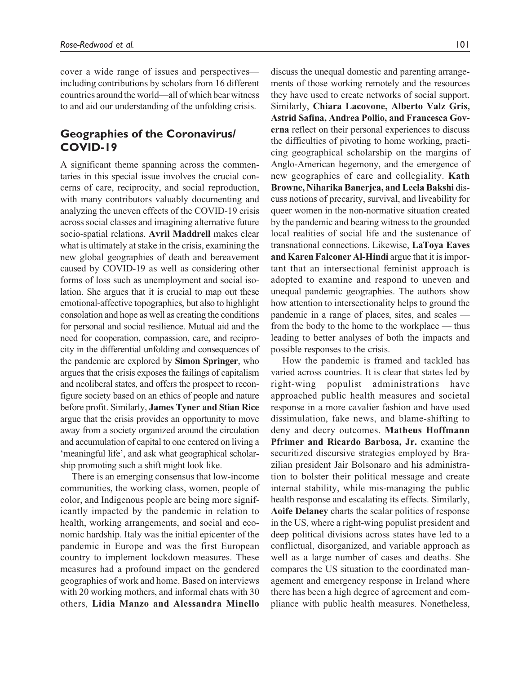cover a wide range of issues and perspectives including contributions by scholars from 16 different countries around the world—all of which bear witness to and aid our understanding of the unfolding crisis.

# Geographies of the Coronavirus/ COVID-19

A significant theme spanning across the commentaries in this special issue involves the crucial concerns of care, reciprocity, and social reproduction, with many contributors valuably documenting and analyzing the uneven effects of the COVID-19 crisis across social classes and imagining alternative future socio-spatial relations. Avril Maddrell makes clear what is ultimately at stake in the crisis, examining the new global geographies of death and bereavement caused by COVID-19 as well as considering other forms of loss such as unemployment and social isolation. She argues that it is crucial to map out these emotional-affective topographies, but also to highlight consolation and hope as well as creating the conditions for personal and social resilience. Mutual aid and the need for cooperation, compassion, care, and reciprocity in the differential unfolding and consequences of the pandemic are explored by Simon Springer, who argues that the crisis exposes the failings of capitalism and neoliberal states, and offers the prospect to reconfigure society based on an ethics of people and nature before profit. Similarly, James Tyner and Stian Rice argue that the crisis provides an opportunity to move away from a society organized around the circulation and accumulation of capital to one centered on living a 'meaningful life', and ask what geographical scholarship promoting such a shift might look like.

There is an emerging consensus that low-income communities, the working class, women, people of color, and Indigenous people are being more significantly impacted by the pandemic in relation to health, working arrangements, and social and economic hardship. Italy was the initial epicenter of the pandemic in Europe and was the first European country to implement lockdown measures. These measures had a profound impact on the gendered geographies of work and home. Based on interviews with 20 working mothers, and informal chats with 30 others, Lidia Manzo and Alessandra Minello

discuss the unequal domestic and parenting arrangements of those working remotely and the resources they have used to create networks of social support. Similarly, Chiara Lacovone, Alberto Valz Gris, Astrid Safina, Andrea Pollio, and Francesca Governa reflect on their personal experiences to discuss the difficulties of pivoting to home working, practicing geographical scholarship on the margins of Anglo-American hegemony, and the emergence of new geographies of care and collegiality. Kath Browne, Niharika Banerjea, and Leela Bakshi discuss notions of precarity, survival, and liveability for queer women in the non-normative situation created by the pandemic and bearing witness to the grounded local realities of social life and the sustenance of transnational connections. Likewise, LaToya Eaves and Karen Falconer Al-Hindi argue that it is important that an intersectional feminist approach is adopted to examine and respond to uneven and unequal pandemic geographies. The authors show how attention to intersectionality helps to ground the pandemic in a range of places, sites, and scales from the body to the home to the workplace — thus leading to better analyses of both the impacts and possible responses to the crisis.

How the pandemic is framed and tackled has varied across countries. It is clear that states led by right-wing populist administrations have approached public health measures and societal response in a more cavalier fashion and have used dissimulation, fake news, and blame-shifting to deny and decry outcomes. Matheus Hoffmann Pfrimer and Ricardo Barbosa, Jr. examine the securitized discursive strategies employed by Brazilian president Jair Bolsonaro and his administration to bolster their political message and create internal stability, while mis-managing the public health response and escalating its effects. Similarly, Aoife Delaney charts the scalar politics of response in the US, where a right-wing populist president and deep political divisions across states have led to a conflictual, disorganized, and variable approach as well as a large number of cases and deaths. She compares the US situation to the coordinated management and emergency response in Ireland where there has been a high degree of agreement and compliance with public health measures. Nonetheless,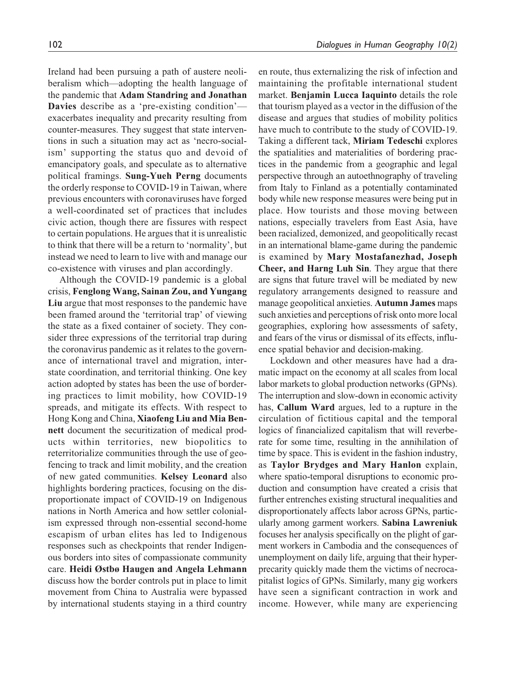Ireland had been pursuing a path of austere neoliberalism which—adopting the health language of the pandemic that Adam Standring and Jonathan Davies describe as a 'pre-existing condition'exacerbates inequality and precarity resulting from counter-measures. They suggest that state interventions in such a situation may act as 'necro-socialism' supporting the status quo and devoid of emancipatory goals, and speculate as to alternative political framings. Sung-Yueh Perng documents the orderly response to COVID-19 in Taiwan, where previous encounters with coronaviruses have forged a well-coordinated set of practices that includes civic action, though there are fissures with respect to certain populations. He argues that it is unrealistic to think that there will be a return to 'normality', but instead we need to learn to live with and manage our co-existence with viruses and plan accordingly.

Although the COVID-19 pandemic is a global crisis, Fenglong Wang, Sainan Zou, and Yungang Liu argue that most responses to the pandemic have been framed around the 'territorial trap' of viewing the state as a fixed container of society. They consider three expressions of the territorial trap during the coronavirus pandemic as it relates to the governance of international travel and migration, interstate coordination, and territorial thinking. One key action adopted by states has been the use of bordering practices to limit mobility, how COVID-19 spreads, and mitigate its effects. With respect to Hong Kong and China, Xiaofeng Liu and Mia Bennett document the securitization of medical products within territories, new biopolitics to reterritorialize communities through the use of geofencing to track and limit mobility, and the creation of new gated communities. Kelsey Leonard also highlights bordering practices, focusing on the disproportionate impact of COVID-19 on Indigenous nations in North America and how settler colonialism expressed through non-essential second-home escapism of urban elites has led to Indigenous responses such as checkpoints that render Indigenous borders into sites of compassionate community care. Heidi Østbø Haugen and Angela Lehmann discuss how the border controls put in place to limit movement from China to Australia were bypassed by international students staying in a third country en route, thus externalizing the risk of infection and maintaining the profitable international student market. Benjamin Lucca Iaquinto details the role that tourism played as a vector in the diffusion of the disease and argues that studies of mobility politics have much to contribute to the study of COVID-19. Taking a different tack, Miriam Tedeschi explores the spatialities and materialities of bordering practices in the pandemic from a geographic and legal perspective through an autoethnography of traveling from Italy to Finland as a potentially contaminated body while new response measures were being put in place. How tourists and those moving between nations, especially travelers from East Asia, have been racialized, demonized, and geopolitically recast in an international blame-game during the pandemic is examined by Mary Mostafanezhad, Joseph Cheer, and Harng Luh Sin. They argue that there are signs that future travel will be mediated by new regulatory arrangements designed to reassure and manage geopolitical anxieties. Autumn James maps such anxieties and perceptions of risk onto more local geographies, exploring how assessments of safety, and fears of the virus or dismissal of its effects, influence spatial behavior and decision-making.

Lockdown and other measures have had a dramatic impact on the economy at all scales from local labor markets to global production networks (GPNs). The interruption and slow-down in economic activity has, Callum Ward argues, led to a rupture in the circulation of fictitious capital and the temporal logics of financialized capitalism that will reverberate for some time, resulting in the annihilation of time by space. This is evident in the fashion industry, as Taylor Brydges and Mary Hanlon explain, where spatio-temporal disruptions to economic production and consumption have created a crisis that further entrenches existing structural inequalities and disproportionately affects labor across GPNs, particularly among garment workers. Sabina Lawreniuk focuses her analysis specifically on the plight of garment workers in Cambodia and the consequences of unemployment on daily life, arguing that their hyperprecarity quickly made them the victims of necrocapitalist logics of GPNs. Similarly, many gig workers have seen a significant contraction in work and income. However, while many are experiencing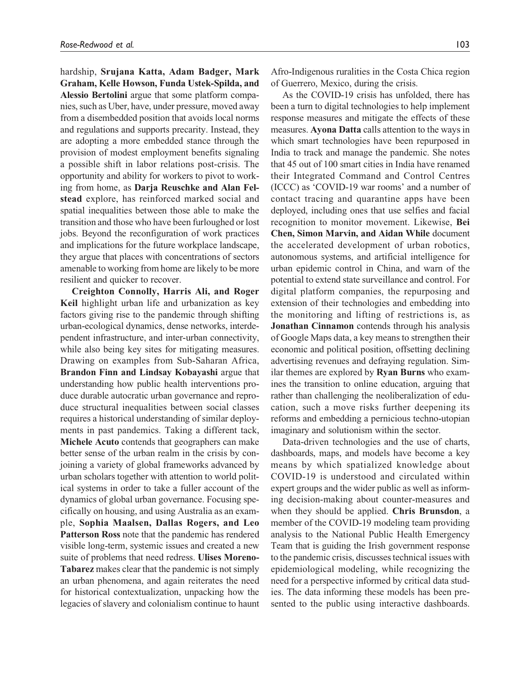hardship, Srujana Katta, Adam Badger, Mark Graham, Kelle Howson, Funda Ustek-Spilda, and Alessio Bertolini argue that some platform companies, such as Uber, have, under pressure, moved away from a disembedded position that avoids local norms and regulations and supports precarity. Instead, they are adopting a more embedded stance through the provision of modest employment benefits signaling a possible shift in labor relations post-crisis. The opportunity and ability for workers to pivot to working from home, as Darja Reuschke and Alan Felstead explore, has reinforced marked social and spatial inequalities between those able to make the transition and those who have been furloughed or lost jobs. Beyond the reconfiguration of work practices and implications for the future workplace landscape, they argue that places with concentrations of sectors amenable to working from home are likely to be more resilient and quicker to recover.

Creighton Connolly, Harris Ali, and Roger Keil highlight urban life and urbanization as key factors giving rise to the pandemic through shifting urban-ecological dynamics, dense networks, interdependent infrastructure, and inter-urban connectivity, while also being key sites for mitigating measures. Drawing on examples from Sub-Saharan Africa, Brandon Finn and Lindsay Kobayashi argue that understanding how public health interventions produce durable autocratic urban governance and reproduce structural inequalities between social classes requires a historical understanding of similar deployments in past pandemics. Taking a different tack, Michele Acuto contends that geographers can make better sense of the urban realm in the crisis by conjoining a variety of global frameworks advanced by urban scholars together with attention to world political systems in order to take a fuller account of the dynamics of global urban governance. Focusing specifically on housing, and using Australia as an example, Sophia Maalsen, Dallas Rogers, and Leo Patterson Ross note that the pandemic has rendered visible long-term, systemic issues and created a new suite of problems that need redress. Ulises Moreno-Tabarez makes clear that the pandemic is not simply an urban phenomena, and again reiterates the need for historical contextualization, unpacking how the legacies of slavery and colonialism continue to haunt Afro-Indigenous ruralities in the Costa Chica region of Guerrero, Mexico, during the crisis.

As the COVID-19 crisis has unfolded, there has been a turn to digital technologies to help implement response measures and mitigate the effects of these measures. Ayona Datta calls attention to the ways in which smart technologies have been repurposed in India to track and manage the pandemic. She notes that 45 out of 100 smart cities in India have renamed their Integrated Command and Control Centres (ICCC) as 'COVID-19 war rooms' and a number of contact tracing and quarantine apps have been deployed, including ones that use selfies and facial recognition to monitor movement. Likewise, Bei Chen, Simon Marvin, and Aidan While document the accelerated development of urban robotics, autonomous systems, and artificial intelligence for urban epidemic control in China, and warn of the potential to extend state surveillance and control. For digital platform companies, the repurposing and extension of their technologies and embedding into the monitoring and lifting of restrictions is, as Jonathan Cinnamon contends through his analysis of Google Maps data, a key means to strengthen their economic and political position, offsetting declining advertising revenues and defraying regulation. Similar themes are explored by Ryan Burns who examines the transition to online education, arguing that rather than challenging the neoliberalization of education, such a move risks further deepening its reforms and embedding a pernicious techno-utopian imaginary and solutionism within the sector.

Data-driven technologies and the use of charts, dashboards, maps, and models have become a key means by which spatialized knowledge about COVID-19 is understood and circulated within expert groups and the wider public as well as informing decision-making about counter-measures and when they should be applied. Chris Brunsdon, a member of the COVID-19 modeling team providing analysis to the National Public Health Emergency Team that is guiding the Irish government response to the pandemic crisis, discusses technical issues with epidemiological modeling, while recognizing the need for a perspective informed by critical data studies. The data informing these models has been presented to the public using interactive dashboards.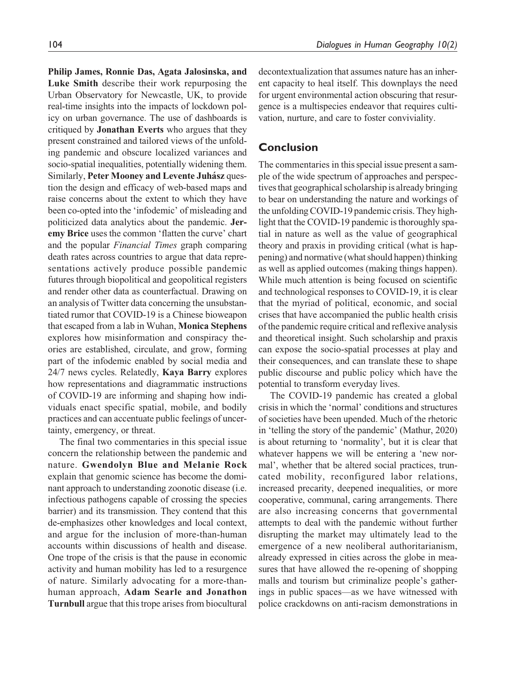Philip James, Ronnie Das, Agata Jalosinska, and Luke Smith describe their work repurposing the Urban Observatory for Newcastle, UK, to provide real-time insights into the impacts of lockdown policy on urban governance. The use of dashboards is critiqued by Jonathan Everts who argues that they present constrained and tailored views of the unfolding pandemic and obscure localized variances and socio-spatial inequalities, potentially widening them. Similarly, Peter Mooney and Levente Juhász question the design and efficacy of web-based maps and raise concerns about the extent to which they have been co-opted into the 'infodemic' of misleading and politicized data analytics about the pandemic. Jeremy Brice uses the common 'flatten the curve' chart and the popular Financial Times graph comparing death rates across countries to argue that data representations actively produce possible pandemic futures through biopolitical and geopolitical registers and render other data as counterfactual. Drawing on an analysis of Twitter data concerning the unsubstantiated rumor that COVID-19 is a Chinese bioweapon that escaped from a lab in Wuhan, Monica Stephens explores how misinformation and conspiracy theories are established, circulate, and grow, forming part of the infodemic enabled by social media and 24/7 news cycles. Relatedly, Kaya Barry explores how representations and diagrammatic instructions of COVID-19 are informing and shaping how individuals enact specific spatial, mobile, and bodily practices and can accentuate public feelings of uncertainty, emergency, or threat.

The final two commentaries in this special issue concern the relationship between the pandemic and nature. Gwendolyn Blue and Melanie Rock explain that genomic science has become the dominant approach to understanding zoonotic disease (i.e. infectious pathogens capable of crossing the species barrier) and its transmission. They contend that this de-emphasizes other knowledges and local context, and argue for the inclusion of more-than-human accounts within discussions of health and disease. One trope of the crisis is that the pause in economic activity and human mobility has led to a resurgence of nature. Similarly advocating for a more-thanhuman approach, Adam Searle and Jonathon Turnbull argue that this trope arises from biocultural

decontextualization that assumes nature has an inherent capacity to heal itself. This downplays the need for urgent environmental action obscuring that resurgence is a multispecies endeavor that requires cultivation, nurture, and care to foster conviviality.

# Conclusion

The commentaries in this special issue present a sample of the wide spectrum of approaches and perspectives that geographical scholarship is already bringing to bear on understanding the nature and workings of the unfolding COVID-19 pandemic crisis. They highlight that the COVID-19 pandemic is thoroughly spatial in nature as well as the value of geographical theory and praxis in providing critical (what is happening) and normative (what should happen) thinking as well as applied outcomes (making things happen). While much attention is being focused on scientific and technological responses to COVID-19, it is clear that the myriad of political, economic, and social crises that have accompanied the public health crisis of the pandemic require critical and reflexive analysis and theoretical insight. Such scholarship and praxis can expose the socio-spatial processes at play and their consequences, and can translate these to shape public discourse and public policy which have the potential to transform everyday lives.

The COVID-19 pandemic has created a global crisis in which the 'normal' conditions and structures of societies have been upended. Much of the rhetoric in 'telling the story of the pandemic' (Mathur, 2020) is about returning to 'normality', but it is clear that whatever happens we will be entering a 'new normal', whether that be altered social practices, truncated mobility, reconfigured labor relations, increased precarity, deepened inequalities, or more cooperative, communal, caring arrangements. There are also increasing concerns that governmental attempts to deal with the pandemic without further disrupting the market may ultimately lead to the emergence of a new neoliberal authoritarianism, already expressed in cities across the globe in measures that have allowed the re-opening of shopping malls and tourism but criminalize people's gatherings in public spaces—as we have witnessed with police crackdowns on anti-racism demonstrations in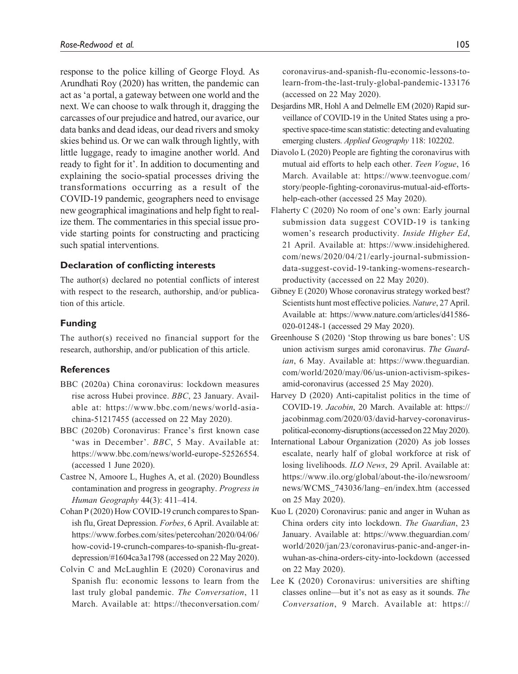response to the police killing of George Floyd. As Arundhati Roy (2020) has written, the pandemic can act as 'a portal, a gateway between one world and the next. We can choose to walk through it, dragging the carcasses of our prejudice and hatred, our avarice, our data banks and dead ideas, our dead rivers and smoky skies behind us. Or we can walk through lightly, with little luggage, ready to imagine another world. And ready to fight for it'. In addition to documenting and explaining the socio-spatial processes driving the transformations occurring as a result of the COVID-19 pandemic, geographers need to envisage new geographical imaginations and help fight to realize them. The commentaries in this special issue provide starting points for constructing and practicing such spatial interventions.

### Declaration of conflicting interests

The author(s) declared no potential conflicts of interest with respect to the research, authorship, and/or publication of this article.

#### Funding

The author(s) received no financial support for the research, authorship, and/or publication of this article.

#### References

- BBC (2020a) China coronavirus: lockdown measures rise across Hubei province. BBC, 23 January. Available at: [https://www.bbc.com/news/world-asia](https://www.bbc.com/news/world-asia-china-51217455)[china-51217455](https://www.bbc.com/news/world-asia-china-51217455) (accessed on 22 May 2020).
- BBC (2020b) Coronavirus: France's first known case 'was in December'. BBC, 5 May. Available at: [https://www.bbc.com/news/world-europe-52526554.](https://www.bbc.com/news/world-europe-52526554) (accessed 1 June 2020).
- Castree N, Amoore L, Hughes A, et al. (2020) Boundless contamination and progress in geography. Progress in Human Geography 44(3): 411–414.
- Cohan P (2020) How COVID-19 crunch compares to Spanish flu, Great Depression. Forbes, 6 April. Available at: [https://www.forbes.com/sites/petercohan/2020/04/06/](https://www.forbes.com/sites/petercohan/2020/04/06/how-covid-19-crunch-compares-to-spanish-flu-great-depression/#1604ca3a1798) [how-covid-19-crunch-compares-to-spanish-flu-great](https://www.forbes.com/sites/petercohan/2020/04/06/how-covid-19-crunch-compares-to-spanish-flu-great-depression/#1604ca3a1798)[depression/#1604ca3a1798](https://www.forbes.com/sites/petercohan/2020/04/06/how-covid-19-crunch-compares-to-spanish-flu-great-depression/#1604ca3a1798) (accessed on 22 May 2020).
- Colvin C and McLaughlin E (2020) Coronavirus and Spanish flu: economic lessons to learn from the last truly global pandemic. The Conversation, 11 March. Available at: [https://theconversation.com/](https://theconversation.com/coronavirus-and-spanish-flu-economic-lessons-to-learn-from-the-last-truly-global-pandemic-133176)

[coronavirus-and-spanish-flu-economic-lessons-to](https://theconversation.com/coronavirus-and-spanish-flu-economic-lessons-to-learn-from-the-last-truly-global-pandemic-133176)[learn-from-the-last-truly-global-pandemic-133176](https://theconversation.com/coronavirus-and-spanish-flu-economic-lessons-to-learn-from-the-last-truly-global-pandemic-133176) (accessed on 22 May 2020).

- Desjardins MR, Hohl A and Delmelle EM (2020) Rapid surveillance of COVID-19 in the United States using a prospective space-time scan statistic: detecting and evaluating emerging clusters. Applied Geography 118: 102202.
- Diavolo L (2020) People are fighting the coronavirus with mutual aid efforts to help each other. Teen Vogue, 16 March. Available at: [https://www.teenvogue.com/](https://www.teenvogue.com/story/people-fighting-coronavirus-mutual-aid-efforts-help-each-other) [story/people-fighting-coronavirus-mutual-aid-efforts](https://www.teenvogue.com/story/people-fighting-coronavirus-mutual-aid-efforts-help-each-other)[help-each-other](https://www.teenvogue.com/story/people-fighting-coronavirus-mutual-aid-efforts-help-each-other) (accessed 25 May 2020).
- Flaherty C (2020) No room of one's own: Early journal submission data suggest COVID-19 is tanking women's research productivity. Inside Higher Ed, 21 April. Available at: [https://www.insidehighered.](https://www.insidehighered.com/news/2020/04/21/early-journal-submission-data-suggest-covid-19-tanking-womens-research-productivity) [com/news/2020/04/21/early-journal-submission](https://www.insidehighered.com/news/2020/04/21/early-journal-submission-data-suggest-covid-19-tanking-womens-research-productivity)[data-suggest-covid-19-tanking-womens-research](https://www.insidehighered.com/news/2020/04/21/early-journal-submission-data-suggest-covid-19-tanking-womens-research-productivity)[productivity](https://www.insidehighered.com/news/2020/04/21/early-journal-submission-data-suggest-covid-19-tanking-womens-research-productivity) (accessed on 22 May 2020).
- Gibney E (2020) Whose coronavirus strategy worked best? Scientists hunt most effective policies. Nature, 27 April. Available at: [https://www.nature.com/articles/d41586-](https://www.nature.com/articles/d41586-020-01248-1) [020-01248-1](https://www.nature.com/articles/d41586-020-01248-1) (accessed 29 May 2020).
- Greenhouse S (2020) 'Stop throwing us bare bones': US union activism surges amid coronavirus. The Guardian, 6 May. Available at: [https://www.theguardian.](https://www.theguardian.com/world/2020/may/06/us-union-activism-spikes-amid-coronavirus) [com/world/2020/may/06/us-union-activism-spikes](https://www.theguardian.com/world/2020/may/06/us-union-activism-spikes-amid-coronavirus)[amid-coronavirus](https://www.theguardian.com/world/2020/may/06/us-union-activism-spikes-amid-coronavirus) (accessed 25 May 2020).
- Harvey D (2020) Anti-capitalist politics in the time of COVID-19. Jacobin, 20 March. Available at: [https://](https://jacobinmag.com/2020/03/david-harvey-coronavirus-political-economy-disruptions) [jacobinmag.com/2020/03/david-harvey-coronavirus](https://jacobinmag.com/2020/03/david-harvey-coronavirus-political-economy-disruptions)[political-economy-disruptions](https://jacobinmag.com/2020/03/david-harvey-coronavirus-political-economy-disruptions) (accessed on 22 May 2020).
- International Labour Organization (2020) As job losses escalate, nearly half of global workforce at risk of losing livelihoods. ILO News, 29 April. Available at: [https://www.ilo.org/global/about-the-ilo/newsroom/](https://www.ilo.org/global/about-the-ilo/newsroom/news/WCMS_743036/lang--en/index.htm) [news/WCMS\\_743036/lang–en/index.htm](https://www.ilo.org/global/about-the-ilo/newsroom/news/WCMS_743036/lang--en/index.htm) (accessed on 25 May 2020).
- Kuo L (2020) Coronavirus: panic and anger in Wuhan as China orders city into lockdown. The Guardian, 23 January. Available at: [https://www.theguardian.com/](https://www.theguardian.com/world/2020/jan/23/coronavirus-panic-and-anger-in-wuhan-as-china-orders-city-into-lockdown) [world/2020/jan/23/coronavirus-panic-and-anger-in](https://www.theguardian.com/world/2020/jan/23/coronavirus-panic-and-anger-in-wuhan-as-china-orders-city-into-lockdown)[wuhan-as-china-orders-city-into-lockdown](https://www.theguardian.com/world/2020/jan/23/coronavirus-panic-and-anger-in-wuhan-as-china-orders-city-into-lockdown) (accessed on 22 May 2020).
- Lee K (2020) Coronavirus: universities are shifting classes online—but it's not as easy as it sounds. The Conversation, 9 March. Available at: [https://](https://theconversation.com/coronavirus-universities-are-shifting-classes-online-but-its-not-as-easy-as-it-sounds-133030)